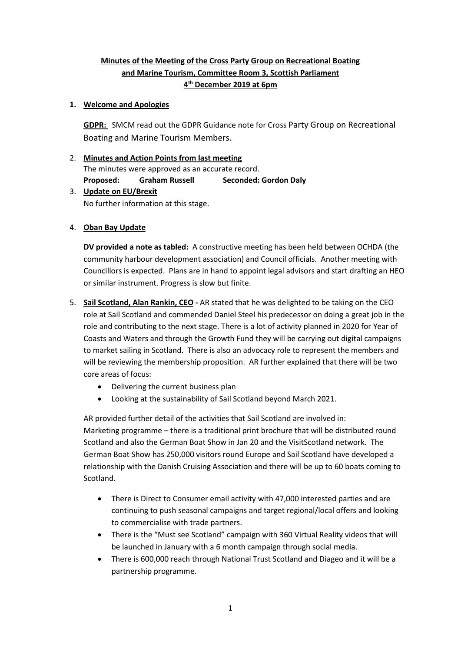## **Minutes of the Meeting of the Cross Party Group on Recreational Boating and Marine Tourism, Committee Room 3, Scottish Parliament 4 th December 2019 at 6pm**

#### **1. Welcome and Apologies**

**GDPR:** SMCM read out the GDPR Guidance note for Cross Party Group on Recreational Boating and Marine Tourism Members.

2. **Minutes and Action Points from last meeting** The minutes were approved as an accurate record. **Proposed: Graham Russell Seconded: Gordon Daly** 3. **Update on EU/Brexit**

No further information at this stage.

4. **Oban Bay Update**

**DV provided a note as tabled:** A constructive meeting has been held between OCHDA (the community harbour development association) and Council officials. Another meeting with Councillors is expected. Plans are in hand to appoint legal advisors and start drafting an HEO or similar instrument. Progress is slow but finite.

- 5. **Sail Scotland, Alan Rankin, CEO -** AR stated that he was delighted to be taking on the CEO role at Sail Scotland and commended Daniel Steel his predecessor on doing a great job in the role and contributing to the next stage. There is a lot of activity planned in 2020 for Year of Coasts and Waters and through the Growth Fund they will be carrying out digital campaigns to market sailing in Scotland. There is also an advocacy role to represent the members and will be reviewing the membership proposition. AR further explained that there will be two core areas of focus:
	- Delivering the current business plan
	- Looking at the sustainability of Sail Scotland beyond March 2021.

AR provided further detail of the activities that Sail Scotland are involved in: Marketing programme – there is a traditional print brochure that will be distributed round Scotland and also the German Boat Show in Jan 20 and the VisitScotland network. The German Boat Show has 250,000 visitors round Europe and Sail Scotland have developed a relationship with the Danish Cruising Association and there will be up to 60 boats coming to Scotland.

- There is Direct to Consumer email activity with 47,000 interested parties and are continuing to push seasonal campaigns and target regional/local offers and looking to commercialise with trade partners.
- There is the "Must see Scotland" campaign with 360 Virtual Reality videos that will be launched in January with a 6 month campaign through social media.
- There is 600,000 reach through National Trust Scotland and Diageo and it will be a partnership programme.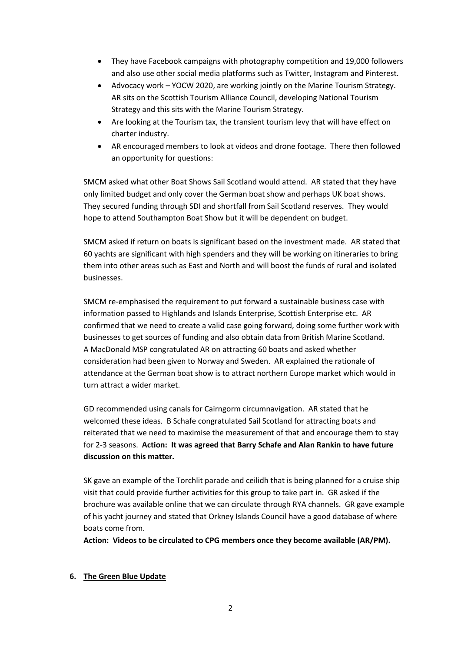- They have Facebook campaigns with photography competition and 19,000 followers and also use other social media platforms such as Twitter, Instagram and Pinterest.
- Advocacy work YOCW 2020, are working jointly on the Marine Tourism Strategy. AR sits on the Scottish Tourism Alliance Council, developing National Tourism Strategy and this sits with the Marine Tourism Strategy.
- Are looking at the Tourism tax, the transient tourism levy that will have effect on charter industry.
- AR encouraged members to look at videos and drone footage. There then followed an opportunity for questions:

SMCM asked what other Boat Shows Sail Scotland would attend. AR stated that they have only limited budget and only cover the German boat show and perhaps UK boat shows. They secured funding through SDI and shortfall from Sail Scotland reserves. They would hope to attend Southampton Boat Show but it will be dependent on budget.

SMCM asked if return on boats is significant based on the investment made. AR stated that 60 yachts are significant with high spenders and they will be working on itineraries to bring them into other areas such as East and North and will boost the funds of rural and isolated businesses.

SMCM re-emphasised the requirement to put forward a sustainable business case with information passed to Highlands and Islands Enterprise, Scottish Enterprise etc. AR confirmed that we need to create a valid case going forward, doing some further work with businesses to get sources of funding and also obtain data from British Marine Scotland. A MacDonald MSP congratulated AR on attracting 60 boats and asked whether consideration had been given to Norway and Sweden. AR explained the rationale of attendance at the German boat show is to attract northern Europe market which would in turn attract a wider market.

GD recommended using canals for Cairngorm circumnavigation. AR stated that he welcomed these ideas. B Schafe congratulated Sail Scotland for attracting boats and reiterated that we need to maximise the measurement of that and encourage them to stay for 2-3 seasons. **Action: It was agreed that Barry Schafe and Alan Rankin to have future discussion on this matter.**

SK gave an example of the Torchlit parade and ceilidh that is being planned for a cruise ship visit that could provide further activities for this group to take part in. GR asked if the brochure was available online that we can circulate through RYA channels. GR gave example of his yacht journey and stated that Orkney Islands Council have a good database of where boats come from.

**Action: Videos to be circulated to CPG members once they become available (AR/PM).**

#### **6. The Green Blue Update**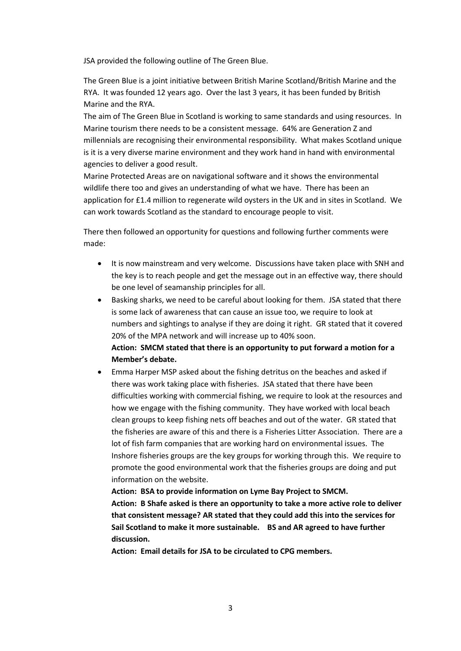JSA provided the following outline of The Green Blue.

The Green Blue is a joint initiative between British Marine Scotland/British Marine and the RYA. It was founded 12 years ago. Over the last 3 years, it has been funded by British Marine and the RYA.

The aim of The Green Blue in Scotland is working to same standards and using resources. In Marine tourism there needs to be a consistent message. 64% are Generation Z and millennials are recognising their environmental responsibility. What makes Scotland unique is it is a very diverse marine environment and they work hand in hand with environmental agencies to deliver a good result.

Marine Protected Areas are on navigational software and it shows the environmental wildlife there too and gives an understanding of what we have. There has been an application for £1.4 million to regenerate wild oysters in the UK and in sites in Scotland. We can work towards Scotland as the standard to encourage people to visit.

There then followed an opportunity for questions and following further comments were made:

- It is now mainstream and very welcome. Discussions have taken place with SNH and the key is to reach people and get the message out in an effective way, there should be one level of seamanship principles for all.
- Basking sharks, we need to be careful about looking for them. JSA stated that there is some lack of awareness that can cause an issue too, we require to look at numbers and sightings to analyse if they are doing it right. GR stated that it covered 20% of the MPA network and will increase up to 40% soon.

### **Action: SMCM stated that there is an opportunity to put forward a motion for a Member's debate.**

 Emma Harper MSP asked about the fishing detritus on the beaches and asked if there was work taking place with fisheries. JSA stated that there have been difficulties working with commercial fishing, we require to look at the resources and how we engage with the fishing community. They have worked with local beach clean groups to keep fishing nets off beaches and out of the water. GR stated that the fisheries are aware of this and there is a Fisheries Litter Association. There are a lot of fish farm companies that are working hard on environmental issues. The Inshore fisheries groups are the key groups for working through this. We require to promote the good environmental work that the fisheries groups are doing and put information on the website.

**Action: BSA to provide information on Lyme Bay Project to SMCM. Action: B Shafe asked is there an opportunity to take a more active role to deliver that consistent message? AR stated that they could add this into the services for Sail Scotland to make it more sustainable. BS and AR agreed to have further discussion.**

**Action: Email details for JSA to be circulated to CPG members.**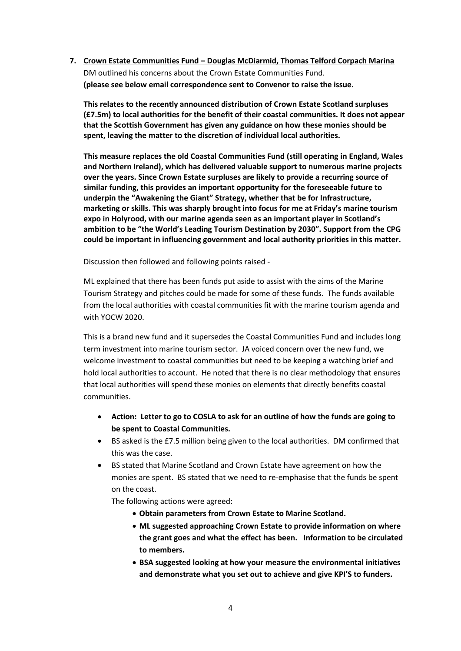**7. Crown Estate Communities Fund – Douglas McDiarmid, Thomas Telford Corpach Marina** DM outlined his concerns about the Crown Estate Communities Fund. **(please see below email correspondence sent to Convenor to raise the issue.**

**This relates to the recently announced distribution of Crown Estate Scotland surpluses (£7.5m) to local authorities for the benefit of their coastal communities. It does not appear that the Scottish Government has given any guidance on how these monies should be spent, leaving the matter to the discretion of individual local authorities.**

**This measure replaces the old Coastal Communities Fund (still operating in England, Wales and Northern Ireland), which has delivered valuable support to numerous marine projects over the years. Since Crown Estate surpluses are likely to provide a recurring source of similar funding, this provides an important opportunity for the foreseeable future to underpin the "Awakening the Giant" Strategy, whether that be for Infrastructure, marketing or skills. This was sharply brought into focus for me at Friday's marine tourism expo in Holyrood, with our marine agenda seen as an important player in Scotland's ambition to be "the World's Leading Tourism Destination by 2030". Support from the CPG could be important in influencing government and local authority priorities in this matter.**

Discussion then followed and following points raised -

ML explained that there has been funds put aside to assist with the aims of the Marine Tourism Strategy and pitches could be made for some of these funds. The funds available from the local authorities with coastal communities fit with the marine tourism agenda and with YOCW 2020.

This is a brand new fund and it supersedes the Coastal Communities Fund and includes long term investment into marine tourism sector. JA voiced concern over the new fund, we welcome investment to coastal communities but need to be keeping a watching brief and hold local authorities to account. He noted that there is no clear methodology that ensures that local authorities will spend these monies on elements that directly benefits coastal communities.

- **Action: Letter to go to COSLA to ask for an outline of how the funds are going to be spent to Coastal Communities.**
- BS asked is the £7.5 million being given to the local authorities. DM confirmed that this was the case.
- BS stated that Marine Scotland and Crown Estate have agreement on how the monies are spent. BS stated that we need to re-emphasise that the funds be spent on the coast.

The following actions were agreed:

- **Obtain parameters from Crown Estate to Marine Scotland.**
- **ML suggested approaching Crown Estate to provide information on where the grant goes and what the effect has been. Information to be circulated to members.**
- **BSA suggested looking at how your measure the environmental initiatives and demonstrate what you set out to achieve and give KPI'S to funders.**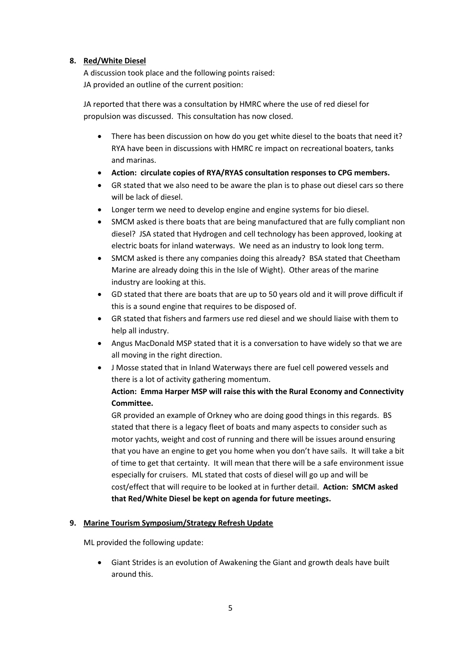#### **8. Red/White Diesel**

A discussion took place and the following points raised: JA provided an outline of the current position:

JA reported that there was a consultation by HMRC where the use of red diesel for propulsion was discussed. This consultation has now closed.

- There has been discussion on how do you get white diesel to the boats that need it? RYA have been in discussions with HMRC re impact on recreational boaters, tanks and marinas.
- **Action: circulate copies of RYA/RYAS consultation responses to CPG members.**
- GR stated that we also need to be aware the plan is to phase out diesel cars so there will be lack of diesel.
- Longer term we need to develop engine and engine systems for bio diesel.
- SMCM asked is there boats that are being manufactured that are fully compliant non diesel? JSA stated that Hydrogen and cell technology has been approved, looking at electric boats for inland waterways. We need as an industry to look long term.
- SMCM asked is there any companies doing this already? BSA stated that Cheetham Marine are already doing this in the Isle of Wight). Other areas of the marine industry are looking at this.
- GD stated that there are boats that are up to 50 years old and it will prove difficult if this is a sound engine that requires to be disposed of.
- GR stated that fishers and farmers use red diesel and we should liaise with them to help all industry.
- Angus MacDonald MSP stated that it is a conversation to have widely so that we are all moving in the right direction.
- J Mosse stated that in Inland Waterways there are fuel cell powered vessels and there is a lot of activity gathering momentum.

## **Action: Emma Harper MSP will raise this with the Rural Economy and Connectivity Committee.**

GR provided an example of Orkney who are doing good things in this regards. BS stated that there is a legacy fleet of boats and many aspects to consider such as motor yachts, weight and cost of running and there will be issues around ensuring that you have an engine to get you home when you don't have sails. It will take a bit of time to get that certainty. It will mean that there will be a safe environment issue especially for cruisers. ML stated that costs of diesel will go up and will be cost/effect that will require to be looked at in further detail. **Action: SMCM asked that Red/White Diesel be kept on agenda for future meetings.**

#### **9. Marine Tourism Symposium/Strategy Refresh Update**

ML provided the following update:

 Giant Strides is an evolution of Awakening the Giant and growth deals have built around this.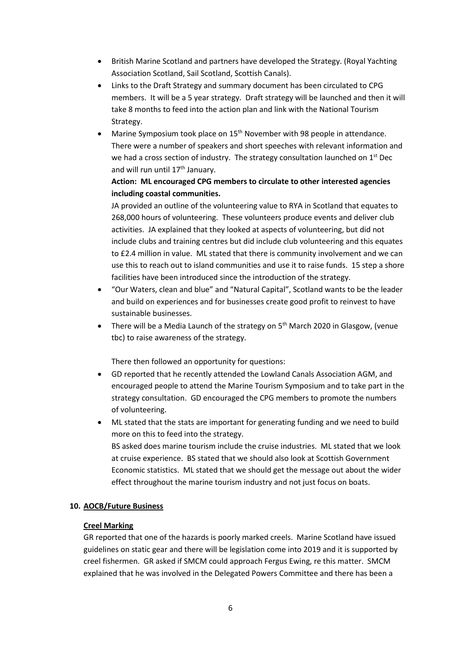- British Marine Scotland and partners have developed the Strategy. (Royal Yachting Association Scotland, Sail Scotland, Scottish Canals).
- Links to the Draft Strategy and summary document has been circulated to CPG members. It will be a 5 year strategy. Draft strategy will be launched and then it will take 8 months to feed into the action plan and link with the National Tourism Strategy.
- Marine Symposium took place on 15<sup>th</sup> November with 98 people in attendance. There were a number of speakers and short speeches with relevant information and we had a cross section of industry. The strategy consultation launched on  $1<sup>st</sup>$  Dec and will run until 17<sup>th</sup> January.

### **Action: ML encouraged CPG members to circulate to other interested agencies including coastal communities.**

JA provided an outline of the volunteering value to RYA in Scotland that equates to 268,000 hours of volunteering. These volunteers produce events and deliver club activities. JA explained that they looked at aspects of volunteering, but did not include clubs and training centres but did include club volunteering and this equates to £2.4 million in value. ML stated that there is community involvement and we can use this to reach out to island communities and use it to raise funds. 15 step a shore facilities have been introduced since the introduction of the strategy.

- "Our Waters, clean and blue" and "Natural Capital", Scotland wants to be the leader and build on experiences and for businesses create good profit to reinvest to have sustainable businesses.
- There will be a Media Launch of the strategy on  $5<sup>th</sup>$  March 2020 in Glasgow, (venue tbc) to raise awareness of the strategy.

There then followed an opportunity for questions:

- GD reported that he recently attended the Lowland Canals Association AGM, and encouraged people to attend the Marine Tourism Symposium and to take part in the strategy consultation. GD encouraged the CPG members to promote the numbers of volunteering.
- ML stated that the stats are important for generating funding and we need to build more on this to feed into the strategy. BS asked does marine tourism include the cruise industries. ML stated that we look at cruise experience. BS stated that we should also look at Scottish Government Economic statistics. ML stated that we should get the message out about the wider effect throughout the marine tourism industry and not just focus on boats.

#### **10. AOCB/Future Business**

#### **Creel Marking**

GR reported that one of the hazards is poorly marked creels. Marine Scotland have issued guidelines on static gear and there will be legislation come into 2019 and it is supported by creel fishermen. GR asked if SMCM could approach Fergus Ewing, re this matter. SMCM explained that he was involved in the Delegated Powers Committee and there has been a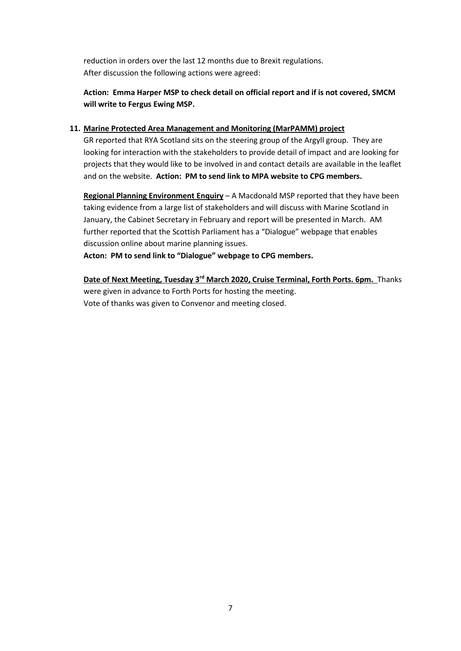reduction in orders over the last 12 months due to Brexit regulations. After discussion the following actions were agreed:

## **Action: Emma Harper MSP to check detail on official report and if is not covered, SMCM will write to Fergus Ewing MSP.**

#### **11. Marine Protected Area Management and Monitoring (MarPAMM) project**

GR reported that RYA Scotland sits on the steering group of the Argyll group. They are looking for interaction with the stakeholders to provide detail of impact and are looking for projects that they would like to be involved in and contact details are available in the leaflet and on the website. **Action: PM to send link to MPA website to CPG members.**

**Regional Planning Environment Enquiry** – A Macdonald MSP reported that they have been taking evidence from a large list of stakeholders and will discuss with Marine Scotland in January, the Cabinet Secretary in February and report will be presented in March. AM further reported that the Scottish Parliament has a "Dialogue" webpage that enables discussion online about marine planning issues.

**Acton: PM to send link to "Dialogue" webpage to CPG members.**

**Date of Next Meeting, Tuesday 3rd March 2020, Cruise Terminal, Forth Ports. 6pm.** Thanks were given in advance to Forth Ports for hosting the meeting. Vote of thanks was given to Convenor and meeting closed.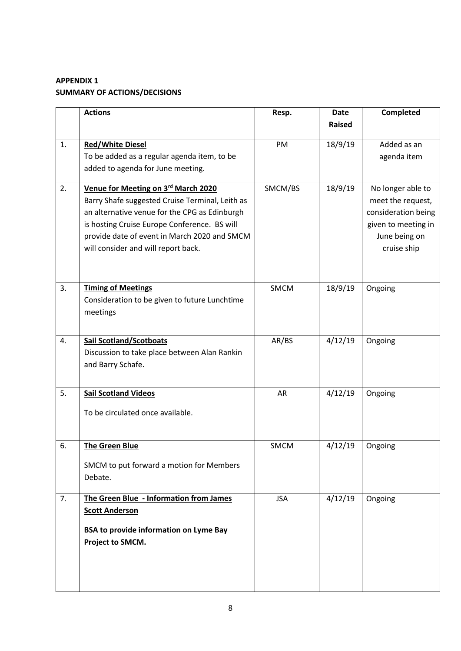# **APPENDIX 1 SUMMARY OF ACTIONS/DECISIONS**

|    | <b>Actions</b>                                                         | Resp.      | <b>Date</b>   | Completed           |
|----|------------------------------------------------------------------------|------------|---------------|---------------------|
|    |                                                                        |            | <b>Raised</b> |                     |
|    |                                                                        |            |               | Added as an         |
| 1. | <b>Red/White Diesel</b><br>To be added as a regular agenda item, to be | PM         | 18/9/19       |                     |
|    |                                                                        |            |               | agenda item         |
|    | added to agenda for June meeting.                                      |            |               |                     |
| 2. | Venue for Meeting on 3rd March 2020                                    | SMCM/BS    | 18/9/19       | No longer able to   |
|    | Barry Shafe suggested Cruise Terminal, Leith as                        |            |               | meet the request,   |
|    | an alternative venue for the CPG as Edinburgh                          |            |               | consideration being |
|    | is hosting Cruise Europe Conference. BS will                           |            |               | given to meeting in |
|    | provide date of event in March 2020 and SMCM                           |            |               | June being on       |
|    | will consider and will report back.                                    |            |               | cruise ship         |
|    |                                                                        |            |               |                     |
|    |                                                                        |            |               |                     |
| 3. | <b>Timing of Meetings</b>                                              | SMCM       | 18/9/19       | Ongoing             |
|    | Consideration to be given to future Lunchtime                          |            |               |                     |
|    | meetings                                                               |            |               |                     |
|    |                                                                        |            |               |                     |
|    |                                                                        |            |               |                     |
| 4. | <b>Sail Scotland/Scotboats</b>                                         | AR/BS      | 4/12/19       | Ongoing             |
|    | Discussion to take place between Alan Rankin                           |            |               |                     |
|    | and Barry Schafe.                                                      |            |               |                     |
|    |                                                                        |            |               |                     |
| 5. | <b>Sail Scotland Videos</b>                                            | AR         | 4/12/19       | Ongoing             |
|    | To be circulated once available.                                       |            |               |                     |
|    |                                                                        |            |               |                     |
|    |                                                                        |            |               |                     |
| 6. | <b>The Green Blue</b>                                                  | SMCM       | 4/12/19       | Ongoing             |
|    |                                                                        |            |               |                     |
|    | SMCM to put forward a motion for Members                               |            |               |                     |
|    | Debate.                                                                |            |               |                     |
| 7. | The Green Blue - Information from James                                | <b>JSA</b> | 4/12/19       | Ongoing             |
|    | <b>Scott Anderson</b>                                                  |            |               |                     |
|    |                                                                        |            |               |                     |
|    | <b>BSA to provide information on Lyme Bay</b>                          |            |               |                     |
|    | Project to SMCM.                                                       |            |               |                     |
|    |                                                                        |            |               |                     |
|    |                                                                        |            |               |                     |
|    |                                                                        |            |               |                     |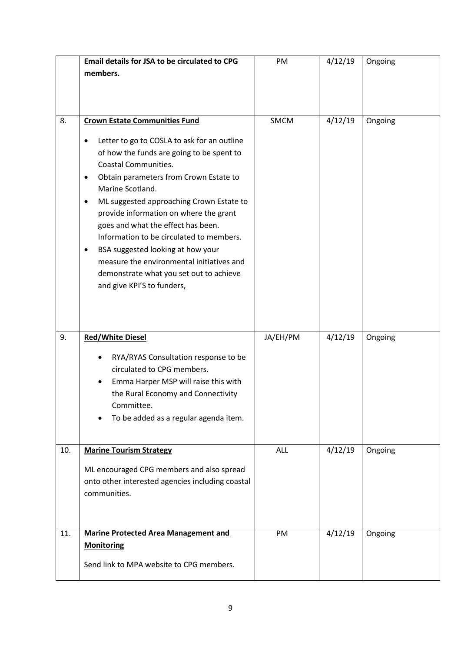|     | <b>Email details for JSA to be circulated to CPG</b>                                                                                                                                                                                                                                                                                                                                                                                                                                                      | PM         | 4/12/19 | Ongoing |
|-----|-----------------------------------------------------------------------------------------------------------------------------------------------------------------------------------------------------------------------------------------------------------------------------------------------------------------------------------------------------------------------------------------------------------------------------------------------------------------------------------------------------------|------------|---------|---------|
|     | members.                                                                                                                                                                                                                                                                                                                                                                                                                                                                                                  |            |         |         |
|     |                                                                                                                                                                                                                                                                                                                                                                                                                                                                                                           |            |         |         |
|     |                                                                                                                                                                                                                                                                                                                                                                                                                                                                                                           |            |         |         |
| 8.  | <b>Crown Estate Communities Fund</b>                                                                                                                                                                                                                                                                                                                                                                                                                                                                      | SMCM       | 4/12/19 | Ongoing |
|     |                                                                                                                                                                                                                                                                                                                                                                                                                                                                                                           |            |         |         |
|     | Letter to go to COSLA to ask for an outline<br>٠<br>of how the funds are going to be spent to<br><b>Coastal Communities.</b><br>Obtain parameters from Crown Estate to<br>٠<br>Marine Scotland.<br>ML suggested approaching Crown Estate to<br>٠<br>provide information on where the grant<br>goes and what the effect has been.<br>Information to be circulated to members.<br>BSA suggested looking at how your<br>measure the environmental initiatives and<br>demonstrate what you set out to achieve |            |         |         |
| 9.  | and give KPI'S to funders,<br><b>Red/White Diesel</b>                                                                                                                                                                                                                                                                                                                                                                                                                                                     | JA/EH/PM   | 4/12/19 | Ongoing |
|     | RYA/RYAS Consultation response to be<br>circulated to CPG members.<br>Emma Harper MSP will raise this with<br>the Rural Economy and Connectivity<br>Committee.<br>To be added as a regular agenda item.                                                                                                                                                                                                                                                                                                   |            |         |         |
| 10. | <b>Marine Tourism Strategy</b><br>ML encouraged CPG members and also spread<br>onto other interested agencies including coastal<br>communities.                                                                                                                                                                                                                                                                                                                                                           | <b>ALL</b> | 4/12/19 | Ongoing |
| 11. | <b>Marine Protected Area Management and</b><br><b>Monitoring</b>                                                                                                                                                                                                                                                                                                                                                                                                                                          | PM         | 4/12/19 | Ongoing |
|     | Send link to MPA website to CPG members.                                                                                                                                                                                                                                                                                                                                                                                                                                                                  |            |         |         |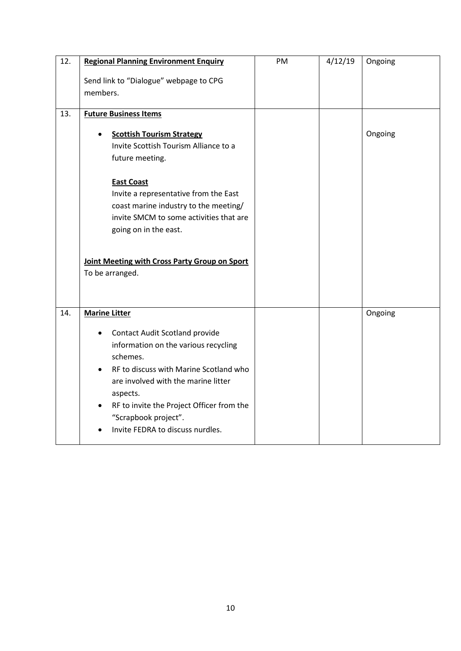| 12. | <b>Regional Planning Environment Enquiry</b>                                  | PM | 4/12/19 | Ongoing |
|-----|-------------------------------------------------------------------------------|----|---------|---------|
|     | Send link to "Dialogue" webpage to CPG                                        |    |         |         |
|     | members.                                                                      |    |         |         |
| 13. | <b>Future Business Items</b>                                                  |    |         |         |
|     |                                                                               |    |         |         |
|     | <b>Scottish Tourism Strategy</b>                                              |    |         | Ongoing |
|     | Invite Scottish Tourism Alliance to a                                         |    |         |         |
|     | future meeting.                                                               |    |         |         |
|     | <b>East Coast</b>                                                             |    |         |         |
|     | Invite a representative from the East                                         |    |         |         |
|     | coast marine industry to the meeting/                                         |    |         |         |
|     | invite SMCM to some activities that are                                       |    |         |         |
|     | going on in the east.                                                         |    |         |         |
|     |                                                                               |    |         |         |
|     | Joint Meeting with Cross Party Group on Sport                                 |    |         |         |
|     | To be arranged.                                                               |    |         |         |
|     |                                                                               |    |         |         |
| 14. | <b>Marine Litter</b>                                                          |    |         | Ongoing |
|     |                                                                               |    |         |         |
|     | Contact Audit Scotland provide                                                |    |         |         |
|     | information on the various recycling                                          |    |         |         |
|     | schemes.                                                                      |    |         |         |
|     | RF to discuss with Marine Scotland who<br>are involved with the marine litter |    |         |         |
|     | aspects.                                                                      |    |         |         |
|     | RF to invite the Project Officer from the                                     |    |         |         |
|     | "Scrapbook project".                                                          |    |         |         |
|     | Invite FEDRA to discuss nurdles.                                              |    |         |         |
|     |                                                                               |    |         |         |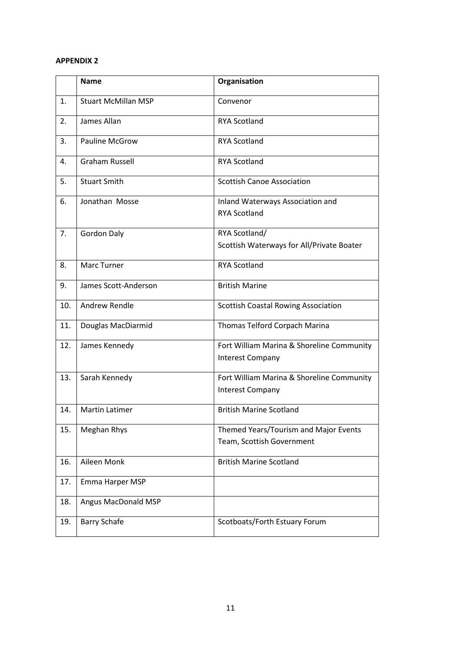#### **APPENDIX 2**

|     | <b>Name</b>                | Organisation                                                         |
|-----|----------------------------|----------------------------------------------------------------------|
| 1.  | <b>Stuart McMillan MSP</b> | Convenor                                                             |
| 2.  | James Allan                | <b>RYA Scotland</b>                                                  |
| 3.  | <b>Pauline McGrow</b>      | <b>RYA Scotland</b>                                                  |
| 4.  | <b>Graham Russell</b>      | <b>RYA Scotland</b>                                                  |
| 5.  | <b>Stuart Smith</b>        | <b>Scottish Canoe Association</b>                                    |
| 6.  | Jonathan Mosse             | Inland Waterways Association and<br><b>RYA Scotland</b>              |
| 7.  | <b>Gordon Daly</b>         | RYA Scotland/<br>Scottish Waterways for All/Private Boater           |
| 8.  | <b>Marc Turner</b>         | <b>RYA Scotland</b>                                                  |
| 9.  | James Scott-Anderson       | <b>British Marine</b>                                                |
| 10. | Andrew Rendle              | <b>Scottish Coastal Rowing Association</b>                           |
| 11. | Douglas MacDiarmid         | Thomas Telford Corpach Marina                                        |
| 12. | James Kennedy              | Fort William Marina & Shoreline Community<br><b>Interest Company</b> |
| 13. | Sarah Kennedy              | Fort William Marina & Shoreline Community<br><b>Interest Company</b> |
| 14. | <b>Martin Latimer</b>      | <b>British Marine Scotland</b>                                       |
| 15. | <b>Meghan Rhys</b>         | Themed Years/Tourism and Major Events<br>Team, Scottish Government   |
| 16. | Aileen Monk                | <b>British Marine Scotland</b>                                       |
| 17. | Emma Harper MSP            |                                                                      |
| 18. | Angus MacDonald MSP        |                                                                      |
| 19. | <b>Barry Schafe</b>        | Scotboats/Forth Estuary Forum                                        |